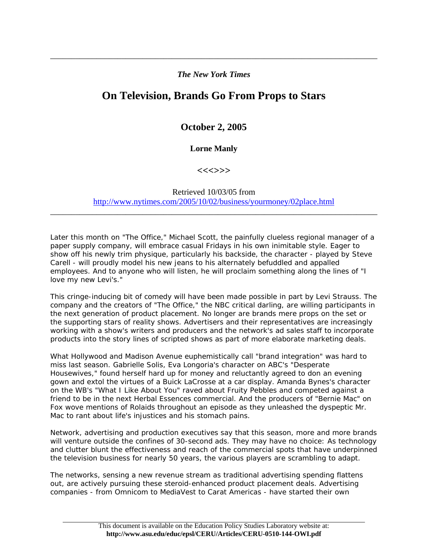## *The New York Times*

\_\_\_\_\_\_\_\_\_\_\_\_\_\_\_\_\_\_\_\_\_\_\_\_\_\_\_\_\_\_\_\_\_\_\_\_\_\_\_\_\_\_\_\_\_\_\_\_\_\_\_\_\_\_\_\_\_\_\_\_\_\_\_\_\_\_\_\_\_\_\_\_\_\_\_\_\_\_

# **On Television, Brands Go From Props to Stars**

## **October 2, 2005**

### **Lorne Manly**

**<<<>>>** 

#### Retrieved 10/03/05 from http://www.nytimes.com/2005/10/02/business/yourmoney/02place.html

\_\_\_\_\_\_\_\_\_\_\_\_\_\_\_\_\_\_\_\_\_\_\_\_\_\_\_\_\_\_\_\_\_\_\_\_\_\_\_\_\_\_\_\_\_\_\_\_\_\_\_\_\_\_\_\_\_\_\_\_\_\_\_\_\_\_\_\_\_\_\_\_\_\_\_\_\_\_

Later this month on "The Office," Michael Scott, the painfully clueless regional manager of a paper supply company, will embrace casual Fridays in his own inimitable style. Eager to show off his newly trim physique, particularly his backside, the character - played by Steve Carell - will proudly model his new jeans to his alternately befuddled and appalled employees. And to anyone who will listen, he will proclaim something along the lines of "I love my new Levi's."

This cringe-inducing bit of comedy will have been made possible in part by Levi Strauss. The company and the creators of "The Office," the NBC critical darling, are willing participants in the next generation of product placement. No longer are brands mere props on the set or the supporting stars of reality shows. Advertisers and their representatives are increasingly working with a show's writers and producers and the network's ad sales staff to incorporate products into the story lines of scripted shows as part of more elaborate marketing deals.

What Hollywood and Madison Avenue euphemistically call "brand integration" was hard to miss last season. Gabrielle Solis, Eva Longoria's character on ABC's "Desperate Housewives," found herself hard up for money and reluctantly agreed to don an evening gown and extol the virtues of a Buick LaCrosse at a car display. Amanda Bynes's character on the WB's "What I Like About You" raved about Fruity Pebbles and competed against a friend to be in the next Herbal Essences commercial. And the producers of "Bernie Mac" on Fox wove mentions of Rolaids throughout an episode as they unleashed the dyspeptic Mr. Mac to rant about life's injustices and his stomach pains.

Network, advertising and production executives say that this season, more and more brands will venture outside the confines of 30-second ads. They may have no choice: As technology and clutter blunt the effectiveness and reach of the commercial spots that have underpinned the television business for nearly 50 years, the various players are scrambling to adapt.

The networks, sensing a new revenue stream as traditional advertising spending flattens out, are actively pursuing these steroid-enhanced product placement deals. Advertising companies - from Omnicom to MediaVest to Carat Americas - have started their own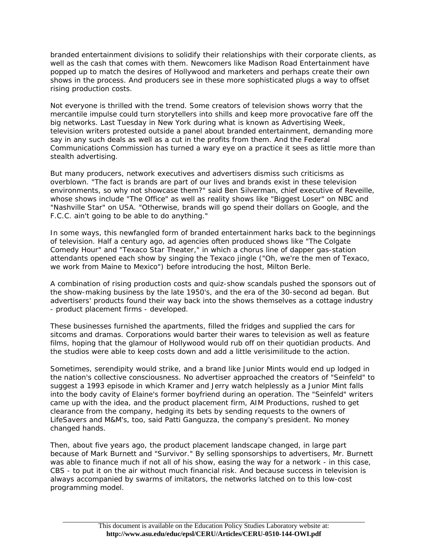branded entertainment divisions to solidify their relationships with their corporate clients, as well as the cash that comes with them. Newcomers like Madison Road Entertainment have popped up to match the desires of Hollywood and marketers and perhaps create their own shows in the process. And producers see in these more sophisticated plugs a way to offset rising production costs.

Not everyone is thrilled with the trend. Some creators of television shows worry that the mercantile impulse could turn storytellers into shills and keep more provocative fare off the big networks. Last Tuesday in New York during what is known as Advertising Week, television writers protested outside a panel about branded entertainment, demanding more say in any such deals as well as a cut in the profits from them. And the Federal Communications Commission has turned a wary eye on a practice it sees as little more than stealth advertising.

But many producers, network executives and advertisers dismiss such criticisms as overblown. "The fact is brands are part of our lives and brands exist in these television environments, so why not showcase them?" said Ben Silverman, chief executive of Reveille, whose shows include "The Office" as well as reality shows like "Biggest Loser" on NBC and "Nashville Star" on USA. "Otherwise, brands will go spend their dollars on Google, and the F.C.C. ain't going to be able to do anything."

In some ways, this newfangled form of branded entertainment harks back to the beginnings of television. Half a century ago, ad agencies often produced shows like "The Colgate Comedy Hour" and "Texaco Star Theater," in which a chorus line of dapper gas-station attendants opened each show by singing the Texaco jingle ("Oh, we're the men of Texaco, we work from Maine to Mexico") before introducing the host, Milton Berle.

A combination of rising production costs and quiz-show scandals pushed the sponsors out of the show-making business by the late 1950's, and the era of the 30-second ad began. But advertisers' products found their way back into the shows themselves as a cottage industry - product placement firms - developed.

These businesses furnished the apartments, filled the fridges and supplied the cars for sitcoms and dramas. Corporations would barter their wares to television as well as feature films, hoping that the glamour of Hollywood would rub off on their quotidian products. And the studios were able to keep costs down and add a little verisimilitude to the action.

Sometimes, serendipity would strike, and a brand like Junior Mints would end up lodged in the nation's collective consciousness. No advertiser approached the creators of "Seinfeld" to suggest a 1993 episode in which Kramer and Jerry watch helplessly as a Junior Mint falls into the body cavity of Elaine's former boyfriend during an operation. The "Seinfeld" writers came up with the idea, and the product placement firm, AIM Productions, rushed to get clearance from the company, hedging its bets by sending requests to the owners of LifeSavers and M&M's, too, said Patti Ganguzza, the company's president. No money changed hands.

Then, about five years ago, the product placement landscape changed, in large part because of Mark Burnett and "Survivor." By selling sponsorships to advertisers, Mr. Burnett was able to finance much if not all of his show, easing the way for a network - in this case, CBS - to put it on the air without much financial risk. And because success in television is always accompanied by swarms of imitators, the networks latched on to this low-cost programming model.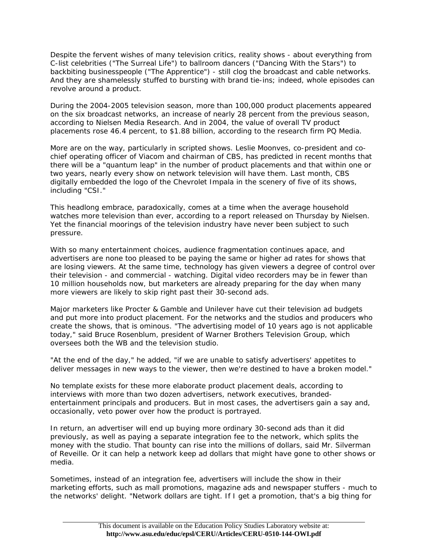Despite the fervent wishes of many television critics, reality shows - about everything from C-list celebrities ("The Surreal Life") to ballroom dancers ("Dancing With the Stars") to backbiting businesspeople ("The Apprentice") - still clog the broadcast and cable networks. And they are shamelessly stuffed to bursting with brand tie-ins; indeed, whole episodes can revolve around a product.

During the 2004-2005 television season, more than 100,000 product placements appeared on the six broadcast networks, an increase of nearly 28 percent from the previous season, according to Nielsen Media Research. And in 2004, the value of overall TV product placements rose 46.4 percent, to \$1.88 billion, according to the research firm PQ Media.

More are on the way, particularly in scripted shows. Leslie Moonves, co-president and cochief operating officer of Viacom and chairman of CBS, has predicted in recent months that there will be a "quantum leap" in the number of product placements and that within one or two years, nearly every show on network television will have them. Last month, CBS digitally embedded the logo of the Chevrolet Impala in the scenery of five of its shows, including "CSI."

This headlong embrace, paradoxically, comes at a time when the average household watches more television than ever, according to a report released on Thursday by Nielsen. Yet the financial moorings of the television industry have never been subject to such pressure.

With so many entertainment choices, audience fragmentation continues apace, and advertisers are none too pleased to be paying the same or higher ad rates for shows that are losing viewers. At the same time, technology has given viewers a degree of control over their television - and commercial - watching. Digital video recorders may be in fewer than 10 million households now, but marketers are already preparing for the day when many more viewers are likely to skip right past their 30-second ads.

Major marketers like Procter & Gamble and Unilever have cut their television ad budgets and put more into product placement. For the networks and the studios and producers who create the shows, that is ominous. "The advertising model of 10 years ago is not applicable today," said Bruce Rosenblum, president of Warner Brothers Television Group, which oversees both the WB and the television studio.

"At the end of the day," he added, "if we are unable to satisfy advertisers' appetites to deliver messages in new ways to the viewer, then we're destined to have a broken model."

No template exists for these more elaborate product placement deals, according to interviews with more than two dozen advertisers, network executives, brandedentertainment principals and producers. But in most cases, the advertisers gain a say and, occasionally, veto power over how the product is portrayed.

In return, an advertiser will end up buying more ordinary 30-second ads than it did previously, as well as paying a separate integration fee to the network, which splits the money with the studio. That bounty can rise into the millions of dollars, said Mr. Silverman of Reveille. Or it can help a network keep ad dollars that might have gone to other shows or media.

Sometimes, instead of an integration fee, advertisers will include the show in their marketing efforts, such as mall promotions, magazine ads and newspaper stuffers - much to the networks' delight. "Network dollars are tight. If I get a promotion, that's a big thing for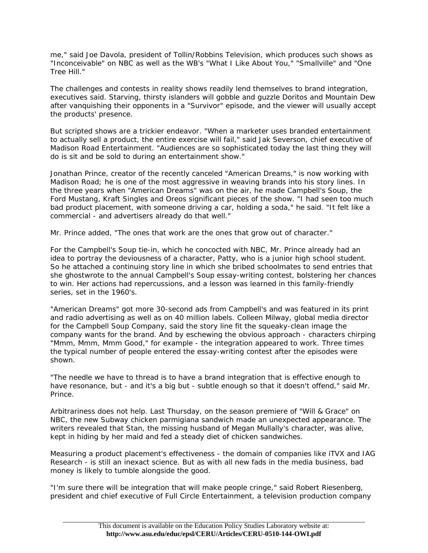me," said Joe Davola, president of Tollin/Robbins Television, which produces such shows as "Inconceivable" on NBC as well as the WB's "What I Like About You," "Smallville" and "One Tree Hill."

The challenges and contests in reality shows readily lend themselves to brand integration, executives said. Starving, thirsty islanders will gobble and guzzle Doritos and Mountain Dew after vanquishing their opponents in a "Survivor" episode, and the viewer will usually accept the products' presence.

But scripted shows are a trickier endeavor. "When a marketer uses branded entertainment to actually sell a product, the entire exercise will fail," said Jak Severson, chief executive of Madison Road Entertainment. "Audiences are so sophisticated today the last thing they will do is sit and be sold to during an entertainment show."

Jonathan Prince, creator of the recently canceled "American Dreams," is now working with Madison Road; he is one of the most aggressive in weaving brands into his story lines. In the three years when "American Dreams" was on the air, he made Campbell's Soup, the Ford Mustang, Kraft Singles and Oreos significant pieces of the show. "I had seen too much bad product placement, with someone driving a car, holding a soda," he said. "It felt like a commercial - and advertisers already do that well."

Mr. Prince added, "The ones that work are the ones that grow out of character."

For the Campbell's Soup tie-in, which he concocted with NBC, Mr. Prince already had an idea to portray the deviousness of a character, Patty, who is a junior high school student. So he attached a continuing story line in which she bribed schoolmates to send entries that she ghostwrote to the annual Campbell's Soup essay-writing contest, bolstering her chances to win. Her actions had repercussions, and a lesson was learned in this family-friendly series, set in the 1960's.

"American Dreams" got more 30-second ads from Campbell's and was featured in its print and radio advertising as well as on 40 million labels. Colleen Milway, global media director for the Campbell Soup Company, said the story line fit the squeaky-clean image the company wants for the brand. And by eschewing the obvious approach - characters chirping "Mmm, Mmm, Mmm Good," for example - the integration appeared to work. Three times the typical number of people entered the essay-writing contest after the episodes were shown.

"The needle we have to thread is to have a brand integration that is effective enough to have resonance, but - and it's a big but - subtle enough so that it doesn't offend," said Mr. Prince.

Arbitrariness does not help. Last Thursday, on the season premiere of "Will & Grace" on NBC, the new Subway chicken parmigiana sandwich made an unexpected appearance. The writers revealed that Stan, the missing husband of Megan Mullally's character, was alive, kept in hiding by her maid and fed a steady diet of chicken sandwiches.

Measuring a product placement's effectiveness - the domain of companies like iTVX and IAG Research - is still an inexact science. But as with all new fads in the media business, bad money is likely to tumble alongside the good.

"I'm sure there will be integration that will make people cringe," said Robert Riesenberg, president and chief executive of Full Circle Entertainment, a television production company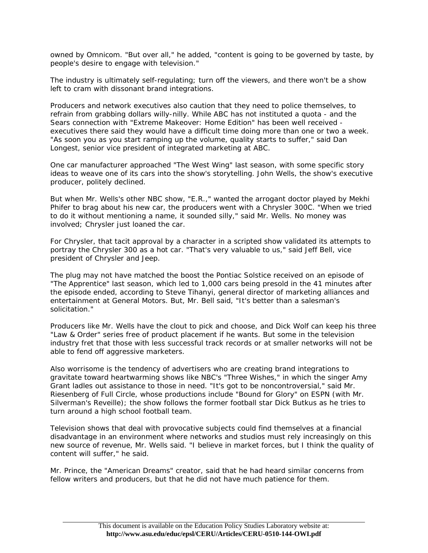owned by Omnicom. "But over all," he added, "content is going to be governed by taste, by people's desire to engage with television."

The industry is ultimately self-regulating; turn off the viewers, and there won't be a show left to cram with dissonant brand integrations.

Producers and network executives also caution that they need to police themselves, to refrain from grabbing dollars willy-nilly. While ABC has not instituted a quota - and the Sears connection with "Extreme Makeover: Home Edition" has been well received executives there said they would have a difficult time doing more than one or two a week. "As soon you as you start ramping up the volume, quality starts to suffer," said Dan Longest, senior vice president of integrated marketing at ABC.

One car manufacturer approached "The West Wing" last season, with some specific story ideas to weave one of its cars into the show's storytelling. John Wells, the show's executive producer, politely declined.

But when Mr. Wells's other NBC show, "E.R.," wanted the arrogant doctor played by Mekhi Phifer to brag about his new car, the producers went with a Chrysler 300C. "When we tried to do it without mentioning a name, it sounded silly," said Mr. Wells. No money was involved; Chrysler just loaned the car.

For Chrysler, that tacit approval by a character in a scripted show validated its attempts to portray the Chrysler 300 as a hot car. "That's very valuable to us," said Jeff Bell, vice president of Chrysler and Jeep.

The plug may not have matched the boost the Pontiac Solstice received on an episode of "The Apprentice" last season, which led to 1,000 cars being presold in the 41 minutes after the episode ended, according to Steve Tihanyi, general director of marketing alliances and entertainment at General Motors. But, Mr. Bell said, "It's better than a salesman's solicitation."

Producers like Mr. Wells have the clout to pick and choose, and Dick Wolf can keep his three "Law & Order" series free of product placement if he wants. But some in the television industry fret that those with less successful track records or at smaller networks will not be able to fend off aggressive marketers.

Also worrisome is the tendency of advertisers who are creating brand integrations to gravitate toward heartwarming shows like NBC's "Three Wishes," in which the singer Amy Grant ladles out assistance to those in need. "It's got to be noncontroversial," said Mr. Riesenberg of Full Circle, whose productions include "Bound for Glory" on ESPN (with Mr. Silverman's Reveille); the show follows the former football star Dick Butkus as he tries to turn around a high school football team.

Television shows that deal with provocative subjects could find themselves at a financial disadvantage in an environment where networks and studios must rely increasingly on this new source of revenue, Mr. Wells said. "I believe in market forces, but I think the quality of content will suffer," he said.

Mr. Prince, the "American Dreams" creator, said that he had heard similar concerns from fellow writers and producers, but that he did not have much patience for them.